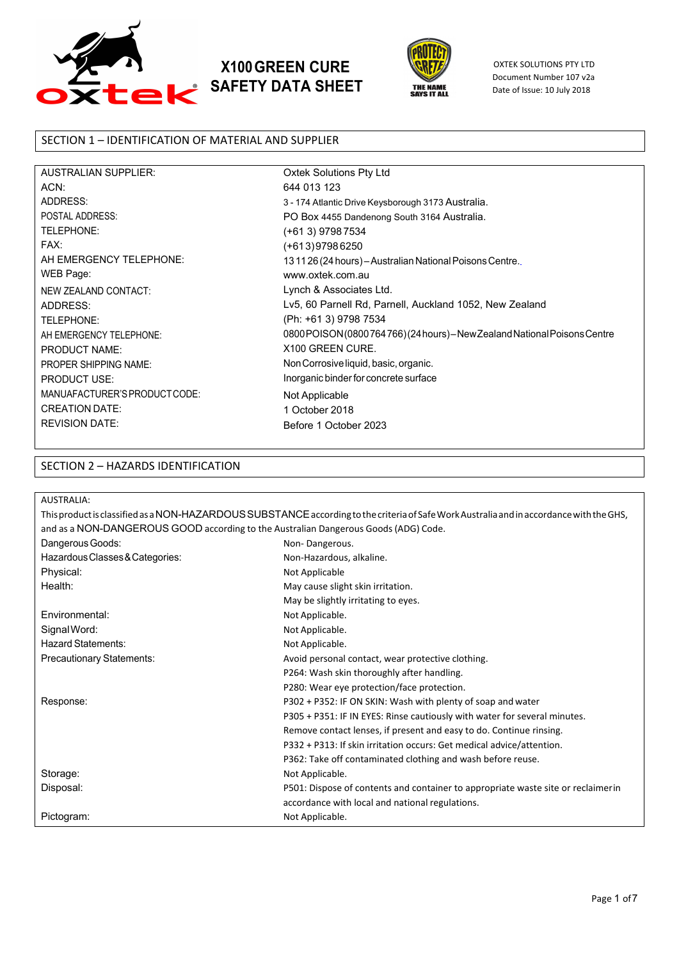

# **X100GREEN CURE SAFETY DATA SHEET**



OXTEK SOLUTIONS PTY LTD Document Number 107 v2a Date of Issue: 10 July 2018

## SECTION 1 – IDENTIFICATION OF MATERIAL AND SUPPLIER

| <b>AUSTRALIAN SUPPLIER:</b>   |
|-------------------------------|
| ACN:                          |
| <b>ADDRESS:</b>               |
| POSTAI ADDRESS:               |
| TELEPHONE:                    |
| FAX:                          |
| AH FMFRGFNCY TFI FPHONF:      |
| WEB Page:                     |
| <b>NEW ZEALAND CONTACT:</b>   |
| ADDRESS:                      |
| TELEPHONE:                    |
| AH FMFRGFNCY TFI FPHONF:      |
| <b>PRODUCT NAME:</b>          |
| PROPER SHIPPING NAME:         |
| <b>PRODUCT USE:</b>           |
| MANUAFACTURER'S PRODUCT CODE: |
| <b>CREATION DATE:</b>         |
| <b>REVISION DATE:</b>         |

Oxtek Solutions Pty Ltd 644 013 123 3 - 174 Atlantic Drive Keysborough 3173 Australia. PO Box 4455 Dandenong South 3164 Australia. (+61 3) 9798 7534 (+613)9798 6250 13 11 26 (24 hours) – Australian National Poisons Centre. [www.oxtek.com.au](http://www.protectcrete.com.au/) Lynch & Associates Ltd. Lv5, 60 Parnell Rd, Parnell, Auckland 1052, New Zealand (Ph: +61 3) 9798 7534 [0800 POISON\(0800 764 766\)](http://www.protectcretenz.co.nz/) (24 hours) – NewZealand National Poisons Centre X100 GREEN CURE. NonCorrosive liquid, basic, organic. Inorganic binder for concrete surface Not Applicable 1 October 2018 Before 1 October 2023

### SECTION 2 – HAZARDS IDENTIFICATION

| <b>AUSTRALIA:</b>                                                                   |                                                                                                                                          |
|-------------------------------------------------------------------------------------|------------------------------------------------------------------------------------------------------------------------------------------|
|                                                                                     | This product is classified as a NON-HAZARDOUS SUBSTANCE according to the criteria of Safe Work Australia and in accordance with the GHS, |
| and as a NON-DANGEROUS GOOD according to the Australian Dangerous Goods (ADG) Code. |                                                                                                                                          |
| Dangerous Goods:                                                                    | Non-Dangerous.                                                                                                                           |
| Hazardous Classes & Categories:                                                     | Non-Hazardous, alkaline.                                                                                                                 |
| Physical:                                                                           | Not Applicable                                                                                                                           |
| Health:                                                                             | May cause slight skin irritation.                                                                                                        |
|                                                                                     | May be slightly irritating to eyes.                                                                                                      |
| Environmental:                                                                      | Not Applicable.                                                                                                                          |
| Signal Word:                                                                        | Not Applicable.                                                                                                                          |
| <b>Hazard Statements:</b>                                                           | Not Applicable.                                                                                                                          |
| Precautionary Statements:                                                           | Avoid personal contact, wear protective clothing.                                                                                        |
|                                                                                     | P264: Wash skin thoroughly after handling.                                                                                               |
|                                                                                     | P280: Wear eye protection/face protection.                                                                                               |
| Response:                                                                           | P302 + P352: IF ON SKIN: Wash with plenty of soap and water                                                                              |
|                                                                                     | P305 + P351: IF IN EYES: Rinse cautiously with water for several minutes.                                                                |
|                                                                                     | Remove contact lenses, if present and easy to do. Continue rinsing.                                                                      |
|                                                                                     | P332 + P313: If skin irritation occurs: Get medical advice/attention.                                                                    |
|                                                                                     | P362: Take off contaminated clothing and wash before reuse.                                                                              |
| Storage:                                                                            | Not Applicable.                                                                                                                          |
| Disposal:                                                                           | P501: Dispose of contents and container to appropriate waste site or reclaimerin                                                         |
|                                                                                     | accordance with local and national regulations.                                                                                          |
| Pictogram:                                                                          | Not Applicable.                                                                                                                          |
|                                                                                     |                                                                                                                                          |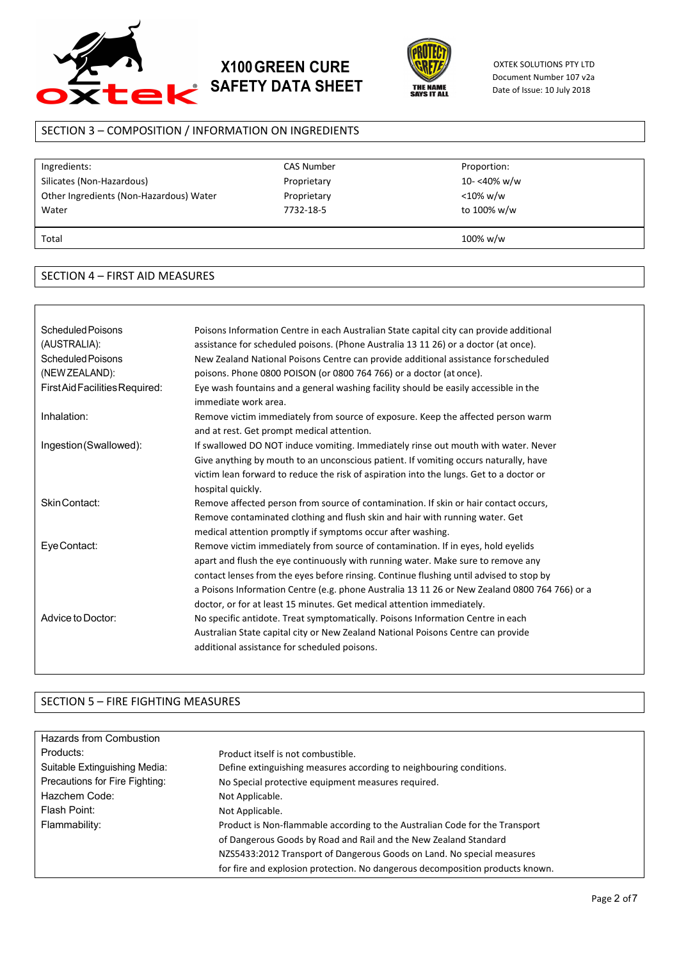

# **X100GREEN CURE SAFETY DATA SHEET**



OXTEK SOLUTIONS PTY LTD Document Number 107 v2a Date of Issue: 10 July 2018

## SECTION 3 – COMPOSITION / INFORMATION ON INGREDIENTS

| Ingredients:                            | <b>CAS Number</b> | Proportion: |  |
|-----------------------------------------|-------------------|-------------|--|
| Silicates (Non-Hazardous)               | Proprietary       | 10-<40% w/w |  |
| Other Ingredients (Non-Hazardous) Water | Proprietary       | $<$ 10% w/w |  |
| Water                                   | 7732-18-5         | to 100% w/w |  |
|                                         |                   |             |  |
| Total                                   |                   | 100% w/w    |  |
|                                         |                   |             |  |

#### SECTION 4 – FIRST AID MEASURES

| Scheduled Poisons<br>(AUSTRALIA):<br>Scheduled Poisons<br>(NEW ZEALAND): | Poisons Information Centre in each Australian State capital city can provide additional<br>assistance for scheduled poisons. (Phone Australia 13 11 26) or a doctor (at once).<br>New Zealand National Poisons Centre can provide additional assistance forscheduled<br>poisons. Phone 0800 POISON (or 0800 764 766) or a doctor (at once).                                                                                                |
|--------------------------------------------------------------------------|--------------------------------------------------------------------------------------------------------------------------------------------------------------------------------------------------------------------------------------------------------------------------------------------------------------------------------------------------------------------------------------------------------------------------------------------|
| FirstAidFacilitiesRequired:                                              | Eye wash fountains and a general washing facility should be easily accessible in the<br>immediate work area.                                                                                                                                                                                                                                                                                                                               |
| Inhalation:                                                              | Remove victim immediately from source of exposure. Keep the affected person warm<br>and at rest. Get prompt medical attention.                                                                                                                                                                                                                                                                                                             |
| Ingestion(Swallowed):                                                    | If swallowed DO NOT induce vomiting. Immediately rinse out mouth with water. Never<br>Give anything by mouth to an unconscious patient. If vomiting occurs naturally, have<br>victim lean forward to reduce the risk of aspiration into the lungs. Get to a doctor or<br>hospital quickly.                                                                                                                                                 |
| Skin Contact:                                                            | Remove affected person from source of contamination. If skin or hair contact occurs,<br>Remove contaminated clothing and flush skin and hair with running water. Get<br>medical attention promptly if symptoms occur after washing.                                                                                                                                                                                                        |
| Eye Contact:                                                             | Remove victim immediately from source of contamination. If in eyes, hold eyelids<br>apart and flush the eye continuously with running water. Make sure to remove any<br>contact lenses from the eyes before rinsing. Continue flushing until advised to stop by<br>a Poisons Information Centre (e.g. phone Australia 13 11 26 or New Zealand 0800 764 766) or a<br>doctor, or for at least 15 minutes. Get medical attention immediately. |
| Advice to Doctor:                                                        | No specific antidote. Treat symptomatically. Poisons Information Centre in each<br>Australian State capital city or New Zealand National Poisons Centre can provide<br>additional assistance for scheduled poisons.                                                                                                                                                                                                                        |

## SECTION 5 – FIRE FIGHTING MEASURES

| Hazards from Combustion        |                                                                               |
|--------------------------------|-------------------------------------------------------------------------------|
| Products:                      | Product itself is not combustible.                                            |
| Suitable Extinguishing Media:  | Define extinguishing measures according to neighbouring conditions.           |
| Precautions for Fire Fighting: | No Special protective equipment measures required.                            |
| Hazchem Code:                  | Not Applicable.                                                               |
| Flash Point:                   | Not Applicable.                                                               |
| Flammability:                  | Product is Non-flammable according to the Australian Code for the Transport   |
|                                | of Dangerous Goods by Road and Rail and the New Zealand Standard              |
|                                | NZS5433:2012 Transport of Dangerous Goods on Land. No special measures        |
|                                | for fire and explosion protection. No dangerous decomposition products known. |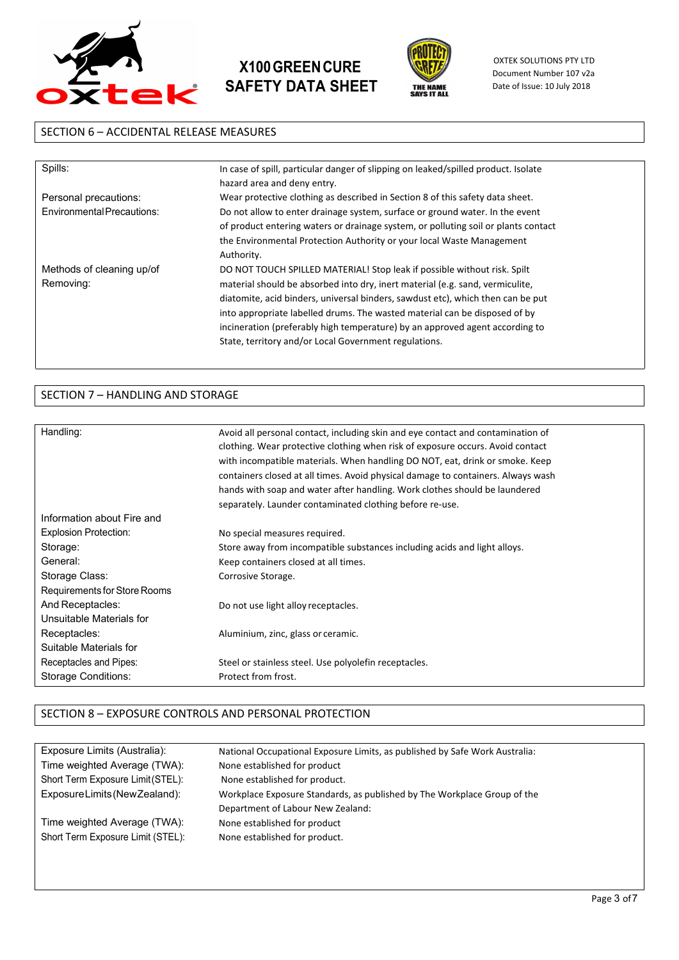





OXTEK SOLUTIONS PTY LTD Document Number 107 v2a Date of Issue: 10 July 2018

## SECTION 6 – ACCIDENTAL RELEASE MEASURES

| Spills:                    | In case of spill, particular danger of slipping on leaked/spilled product. Isolate<br>hazard area and deny entry. |
|----------------------------|-------------------------------------------------------------------------------------------------------------------|
| Personal precautions:      | Wear protective clothing as described in Section 8 of this safety data sheet.                                     |
| Environmental Precautions: | Do not allow to enter drainage system, surface or ground water. In the event                                      |
|                            | of product entering waters or drainage system, or polluting soil or plants contact                                |
|                            | the Environmental Protection Authority or your local Waste Management                                             |
|                            | Authority.                                                                                                        |
| Methods of cleaning up/of  | DO NOT TOUCH SPILLED MATERIAL! Stop leak if possible without risk. Spilt                                          |
| Removing:                  | material should be absorbed into dry, inert material (e.g. sand, vermiculite,                                     |
|                            | diatomite, acid binders, universal binders, sawdust etc), which then can be put                                   |
|                            | into appropriate labelled drums. The wasted material can be disposed of by                                        |
|                            | incineration (preferably high temperature) by an approved agent according to                                      |
|                            | State, territory and/or Local Government regulations.                                                             |
|                            |                                                                                                                   |

# SECTION 7 – HANDLING AND STORAGE

| Handling:                    | Avoid all personal contact, including skin and eye contact and contamination of<br>clothing. Wear protective clothing when risk of exposure occurs. Avoid contact<br>with incompatible materials. When handling DO NOT, eat, drink or smoke. Keep<br>containers closed at all times. Avoid physical damage to containers. Always wash |
|------------------------------|---------------------------------------------------------------------------------------------------------------------------------------------------------------------------------------------------------------------------------------------------------------------------------------------------------------------------------------|
|                              | hands with soap and water after handling. Work clothes should be laundered                                                                                                                                                                                                                                                            |
|                              | separately. Launder contaminated clothing before re-use.                                                                                                                                                                                                                                                                              |
| Information about Fire and   |                                                                                                                                                                                                                                                                                                                                       |
| <b>Explosion Protection:</b> | No special measures required.                                                                                                                                                                                                                                                                                                         |
| Storage:                     | Store away from incompatible substances including acids and light alloys.                                                                                                                                                                                                                                                             |
| General:                     | Keep containers closed at all times.                                                                                                                                                                                                                                                                                                  |
| Storage Class:               | Corrosive Storage.                                                                                                                                                                                                                                                                                                                    |
| Requirements for Store Rooms |                                                                                                                                                                                                                                                                                                                                       |
| And Receptacles:             | Do not use light alloy receptacles.                                                                                                                                                                                                                                                                                                   |
| Unsuitable Materials for     |                                                                                                                                                                                                                                                                                                                                       |
| Receptacles:                 | Aluminium, zinc, glass or ceramic.                                                                                                                                                                                                                                                                                                    |
| Suitable Materials for       |                                                                                                                                                                                                                                                                                                                                       |
| Receptacles and Pipes:       | Steel or stainless steel. Use polyolefin receptacles.                                                                                                                                                                                                                                                                                 |
| <b>Storage Conditions:</b>   | Protect from frost.                                                                                                                                                                                                                                                                                                                   |
|                              |                                                                                                                                                                                                                                                                                                                                       |

## SECTION 8 – EXPOSURE CONTROLS AND PERSONAL PROTECTION

| Exposure Limits (Australia):      | National Occupational Exposure Limits, as published by Safe Work Australia: |
|-----------------------------------|-----------------------------------------------------------------------------|
| Time weighted Average (TWA):      | None established for product                                                |
| Short Term Exposure Limit (STEL): | None established for product.                                               |
| ExposureLimits (New Zealand):     | Workplace Exposure Standards, as published by The Workplace Group of the    |
|                                   | Department of Labour New Zealand:                                           |
| Time weighted Average (TWA):      | None established for product                                                |
| Short Term Exposure Limit (STEL): | None established for product.                                               |
|                                   |                                                                             |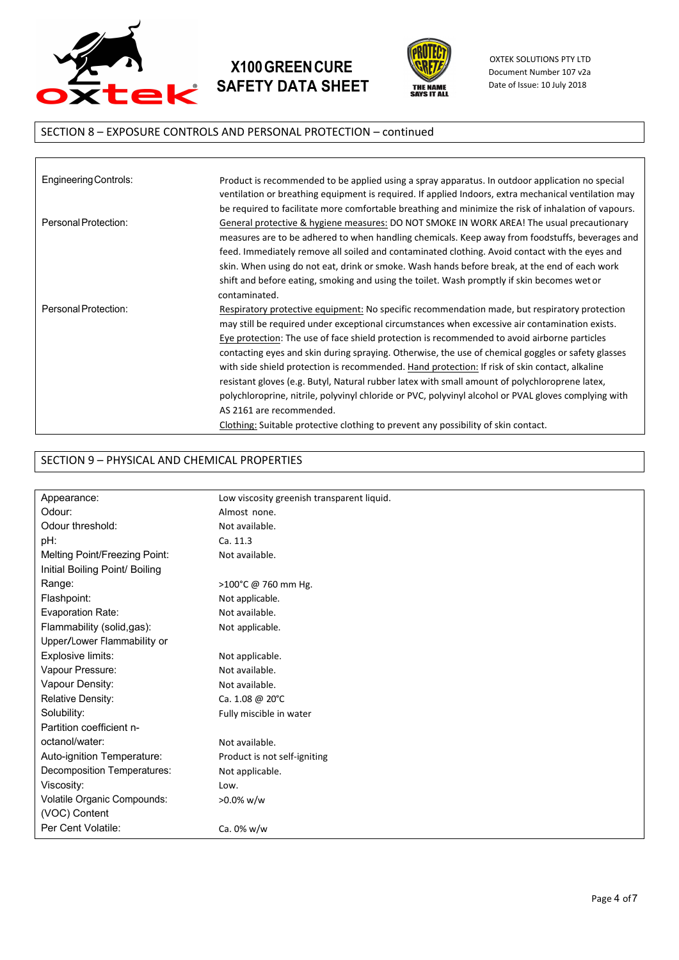

# **X100GREENCURE SAFETY DATA SHEET**



OXTEK SOLUTIONS PTY LTD Document Number 107 v2a Date of Issue: 10 July 2018

# SECTION 8 – EXPOSURE CONTROLS AND PERSONAL PROTECTION – continued

| Engineering Controls: | Product is recommended to be applied using a spray apparatus. In outdoor application no special<br>ventilation or breathing equipment is required. If applied Indoors, extra mechanical ventilation may<br>be required to facilitate more comfortable breathing and minimize the risk of inhalation of vapours.                                                                                                                                                                                                                                                                                                                                                                                                                                                                                                                     |
|-----------------------|-------------------------------------------------------------------------------------------------------------------------------------------------------------------------------------------------------------------------------------------------------------------------------------------------------------------------------------------------------------------------------------------------------------------------------------------------------------------------------------------------------------------------------------------------------------------------------------------------------------------------------------------------------------------------------------------------------------------------------------------------------------------------------------------------------------------------------------|
| Personal Protection:  | General protective & hygiene measures: DO NOT SMOKE IN WORK AREA! The usual precautionary<br>measures are to be adhered to when handling chemicals. Keep away from foodstuffs, beverages and<br>feed. Immediately remove all soiled and contaminated clothing. Avoid contact with the eyes and<br>skin. When using do not eat, drink or smoke. Wash hands before break, at the end of each work<br>shift and before eating, smoking and using the toilet. Wash promptly if skin becomes wet or<br>contaminated.                                                                                                                                                                                                                                                                                                                     |
| Personal Protection:  | Respiratory protective equipment: No specific recommendation made, but respiratory protection<br>may still be required under exceptional circumstances when excessive air contamination exists.<br>Eye protection: The use of face shield protection is recommended to avoid airborne particles<br>contacting eyes and skin during spraying. Otherwise, the use of chemical goggles or safety glasses<br>with side shield protection is recommended. Hand protection: If risk of skin contact, alkaline<br>resistant gloves (e.g. Butyl, Natural rubber latex with small amount of polychloroprene latex,<br>polychloroprine, nitrile, polyvinyl chloride or PVC, polyvinyl alcohol or PVAL gloves complying with<br>AS 2161 are recommended.<br>Clothing: Suitable protective clothing to prevent any possibility of skin contact. |

## SECTION 9 – PHYSICAL AND CHEMICAL PROPERTIES

| Appearance:                    | Low viscosity greenish transparent liquid. |
|--------------------------------|--------------------------------------------|
| Odour:                         | Almost none.                               |
| Odour threshold:               | Not available.                             |
| pH:                            | Ca. 11.3                                   |
| Melting Point/Freezing Point:  | Not available.                             |
| Initial Boiling Point/ Boiling |                                            |
| Range:                         | >100°C @ 760 mm Hg.                        |
| Flashpoint:                    | Not applicable.                            |
| Evaporation Rate:              | Not available.                             |
| Flammability (solid,gas):      | Not applicable.                            |
| Upper/Lower Flammability or    |                                            |
| Explosive limits:              | Not applicable.                            |
| Vapour Pressure:               | Not available.                             |
| Vapour Density:                | Not available.                             |
| Relative Density:              | Ca. 1.08 @ 20°C                            |
| Solubility:                    | Fully miscible in water                    |
| Partition coefficient n-       |                                            |
| octanol/water:                 | Not available.                             |
| Auto-ignition Temperature:     | Product is not self-igniting               |
| Decomposition Temperatures:    | Not applicable.                            |
| Viscosity:                     | Low.                                       |
| Volatile Organic Compounds:    | $>0.0\%$ w/w                               |
| (VOC) Content                  |                                            |
| Per Cent Volatile:             | Ca. 0% w/w                                 |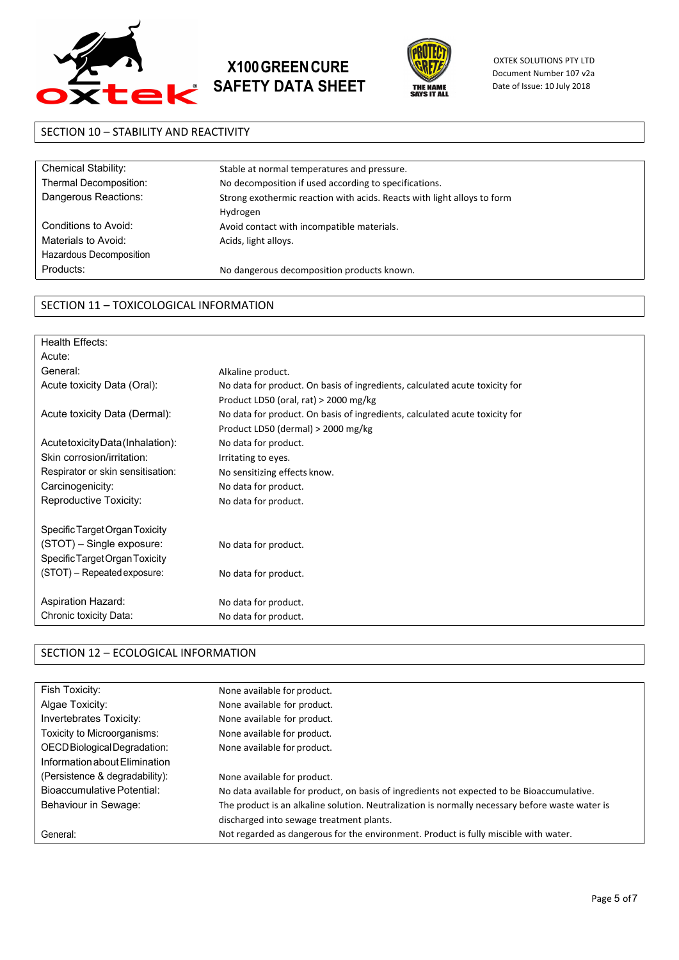





OXTEK SOLUTIONS PTY LTD Document Number 107 v2a Date of Issue: 10 July 2018

## SECTION 10 – STABILITY AND REACTIVITY

| Chemical Stability:     | Stable at normal temperatures and pressure.                             |
|-------------------------|-------------------------------------------------------------------------|
| Thermal Decomposition:  | No decomposition if used according to specifications.                   |
| Dangerous Reactions:    | Strong exothermic reaction with acids. Reacts with light alloys to form |
|                         | Hydrogen                                                                |
| Conditions to Avoid:    | Avoid contact with incompatible materials.                              |
| Materials to Avoid:     | Acids, light alloys.                                                    |
| Hazardous Decomposition |                                                                         |
| Products:               | No dangerous decomposition products known.                              |
|                         |                                                                         |

### SECTION 11 – TOXICOLOGICAL INFORMATION

| Health Effects:                   |                                                                             |
|-----------------------------------|-----------------------------------------------------------------------------|
| Acute:                            |                                                                             |
| General:                          | Alkaline product.                                                           |
| Acute toxicity Data (Oral):       | No data for product. On basis of ingredients, calculated acute toxicity for |
|                                   | Product LD50 (oral, rat) $>$ 2000 mg/kg                                     |
| Acute toxicity Data (Dermal):     | No data for product. On basis of ingredients, calculated acute toxicity for |
|                                   | Product LD50 (dermal) $>$ 2000 mg/kg                                        |
| Acute toxicity Data (Inhalation): | No data for product.                                                        |
| Skin corrosion/irritation:        | Irritating to eyes.                                                         |
| Respirator or skin sensitisation: | No sensitizing effects know.                                                |
| Carcinogenicity:                  | No data for product.                                                        |
| Reproductive Toxicity:            | No data for product.                                                        |
|                                   |                                                                             |
| Specific Target Organ Toxicity    |                                                                             |
| (STOT) – Single exposure:         | No data for product.                                                        |
| Specific Target Organ Toxicity    |                                                                             |
| $(STOT)$ – Repeated exposure:     | No data for product.                                                        |
| Aspiration Hazard:                | No data for product.                                                        |
| Chronic toxicity Data:            | No data for product.                                                        |
|                                   |                                                                             |

#### SECTION 12 – ECOLOGICAL INFORMATION

| Fish Toxicity:                 | None available for product.                                                                     |
|--------------------------------|-------------------------------------------------------------------------------------------------|
| Algae Toxicity:                | None available for product.                                                                     |
| Invertebrates Toxicity:        | None available for product.                                                                     |
| Toxicity to Microorganisms:    | None available for product.                                                                     |
| OECD Biological Degradation:   | None available for product.                                                                     |
| Information about Flimination  |                                                                                                 |
| (Persistence & degradability): | None available for product.                                                                     |
| Bioaccumulative Potential:     | No data available for product, on basis of ingredients not expected to be Bioaccumulative.      |
| Behaviour in Sewage:           | The product is an alkaline solution. Neutralization is normally necessary before waste water is |
|                                | discharged into sewage treatment plants.                                                        |
| General:                       | Not regarded as dangerous for the environment. Product is fully miscible with water.            |
|                                |                                                                                                 |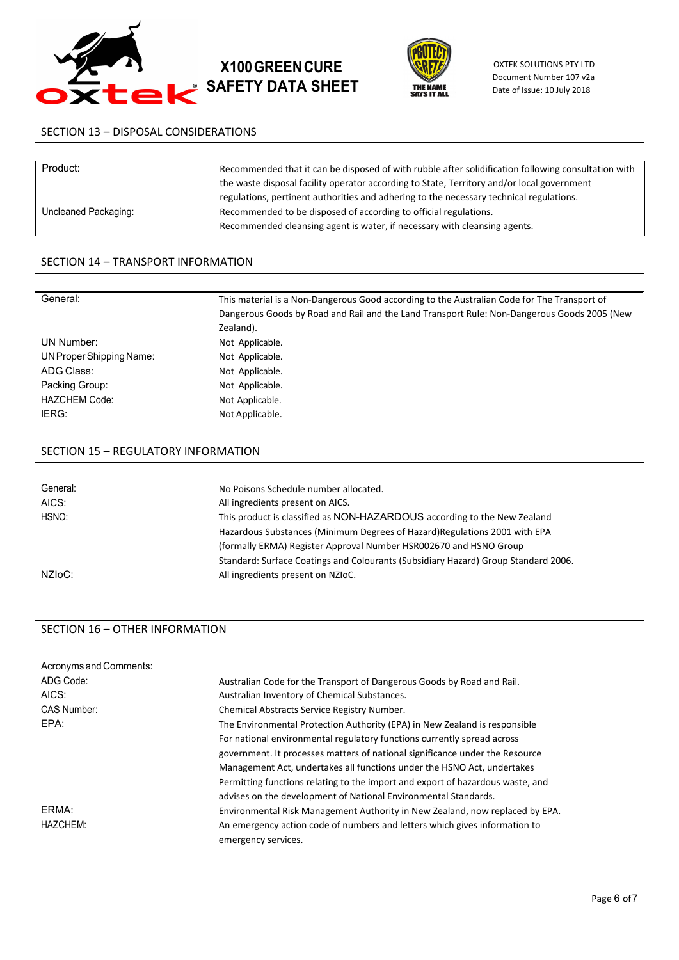





OXTEK SOLUTIONS PTY LTD Document Number 107 v2a Date of Issue: 10 July 2018

## SECTION 13 – DISPOSAL CONSIDERATIONS

| Product:             | Recommended that it can be disposed of with rubble after solidification following consultation with |
|----------------------|-----------------------------------------------------------------------------------------------------|
|                      | the waste disposal facility operator according to State, Territory and/or local government          |
|                      | regulations, pertinent authorities and adhering to the necessary technical regulations.             |
| Uncleaned Packaging: | Recommended to be disposed of according to official regulations.                                    |
|                      | Recommended cleansing agent is water, if necessary with cleansing agents.                           |

#### SECTION 14 – TRANSPORT INFORMATION

| General:                 | This material is a Non-Dangerous Good according to the Australian Code for The Transport of<br>Dangerous Goods by Road and Rail and the Land Transport Rule: Non-Dangerous Goods 2005 (New<br>Zealand). |
|--------------------------|---------------------------------------------------------------------------------------------------------------------------------------------------------------------------------------------------------|
| UN Number:               | Not Applicable.                                                                                                                                                                                         |
| UN Proper Shipping Name: | Not Applicable.                                                                                                                                                                                         |
| ADG Class:               | Not Applicable.                                                                                                                                                                                         |
| Packing Group:           | Not Applicable.                                                                                                                                                                                         |
| <b>HAZCHEM Code:</b>     | Not Applicable.                                                                                                                                                                                         |
| IERG:                    | Not Applicable.                                                                                                                                                                                         |

#### SECTION 15 – REGULATORY INFORMATION

| General:      | No Poisons Schedule number allocated.                                              |
|---------------|------------------------------------------------------------------------------------|
| AICS:         | All ingredients present on AICS.                                                   |
| HSNO:         | This product is classified as NON-HAZARDOUS according to the New Zealand           |
|               | Hazardous Substances (Minimum Degrees of Hazard) Regulations 2001 with EPA         |
|               | (formally ERMA) Register Approval Number HSR002670 and HSNO Group                  |
|               | Standard: Surface Coatings and Colourants (Subsidiary Hazard) Group Standard 2006. |
| $NZ$ lo $C$ : | All ingredients present on NZIoC.                                                  |
|               |                                                                                    |

### SECTION 16 – OTHER INFORMATION

| Acronyms and Comments: |                                                                                |
|------------------------|--------------------------------------------------------------------------------|
| ADG Code:              | Australian Code for the Transport of Dangerous Goods by Road and Rail.         |
| AICS:                  | Australian Inventory of Chemical Substances.                                   |
| CAS Number:            | Chemical Abstracts Service Registry Number.                                    |
| EPA:                   | The Environmental Protection Authority (EPA) in New Zealand is responsible     |
|                        | For national environmental regulatory functions currently spread across        |
|                        | government. It processes matters of national significance under the Resource   |
|                        | Management Act, undertakes all functions under the HSNO Act, undertakes        |
|                        | Permitting functions relating to the import and export of hazardous waste, and |
|                        | advises on the development of National Environmental Standards.                |
| ERMA:                  | Environmental Risk Management Authority in New Zealand, now replaced by EPA.   |
| HAZCHEM:               | An emergency action code of numbers and letters which gives information to     |
|                        | emergency services.                                                            |